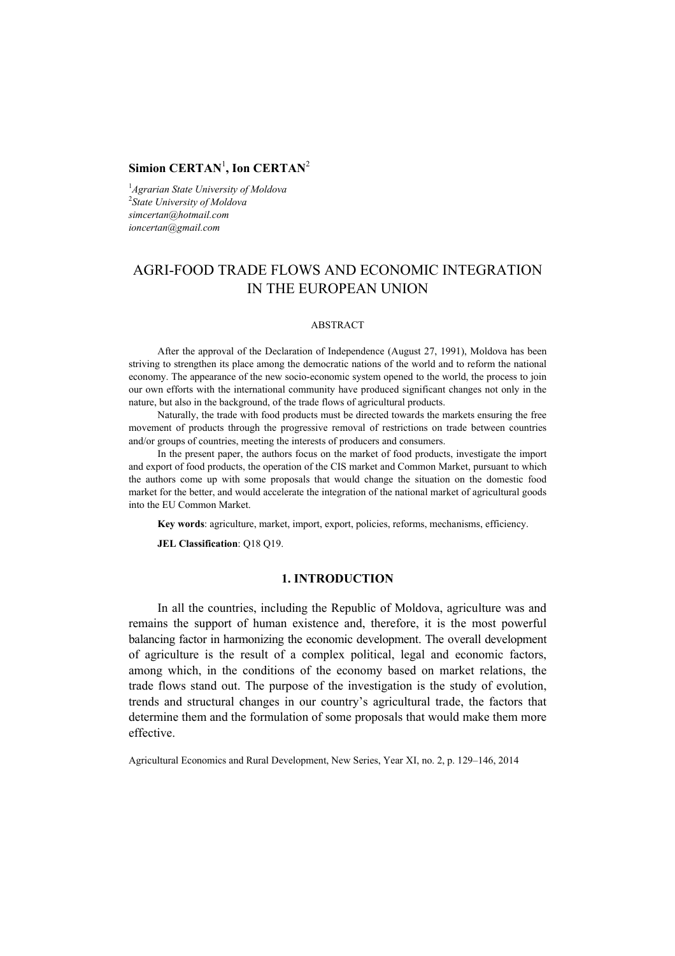## ${\bf Simion~CERTAN}^1,$  Ion  ${\bf CERTAN}^2$

1 *Agrarian State University of Moldova* 2 *State University of Moldova simcertan@hotmail.com ioncertan@gmail.com*

# AGRI-FOOD TRADE FLOWS AND ECONOMIC INTEGRATION IN THE EUROPEAN UNION

#### ABSTRACT

After the approval of the Declaration of Independence (August 27, 1991), Moldova has been striving to strengthen its place among the democratic nations of the world and to reform the national economy. The appearance of the new socio-economic system opened to the world, the process to join our own efforts with the international community have produced significant changes not only in the nature, but also in the background, of the trade flows of agricultural products.

Naturally, the trade with food products must be directed towards the markets ensuring the free movement of products through the progressive removal of restrictions on trade between countries and/or groups of countries, meeting the interests of producers and consumers.

In the present paper, the authors focus on the market of food products, investigate the import and export of food products, the operation of the CIS market and Common Market, pursuant to which the authors come up with some proposals that would change the situation on the domestic food market for the better, and would accelerate the integration of the national market of agricultural goods into the EU Common Market.

**Key words**: agriculture, market, import, export, policies, reforms, mechanisms, efficiency.

**JEL Classification**: Q18 Q19.

### **1. INTRODUCTION**

In all the countries, including the Republic of Moldova, agriculture was and remains the support of human existence and, therefore, it is the most powerful balancing factor in harmonizing the economic development. The overall development of agriculture is the result of a complex political, legal and economic factors, among which, in the conditions of the economy based on market relations, the trade flows stand out. The purpose of the investigation is the study of evolution, trends and structural changes in our country's agricultural trade, the factors that determine them and the formulation of some proposals that would make them more effective.

Agricultural Economics and Rural Development, New Series, Year XI, no. 2, p. 129–146, 2014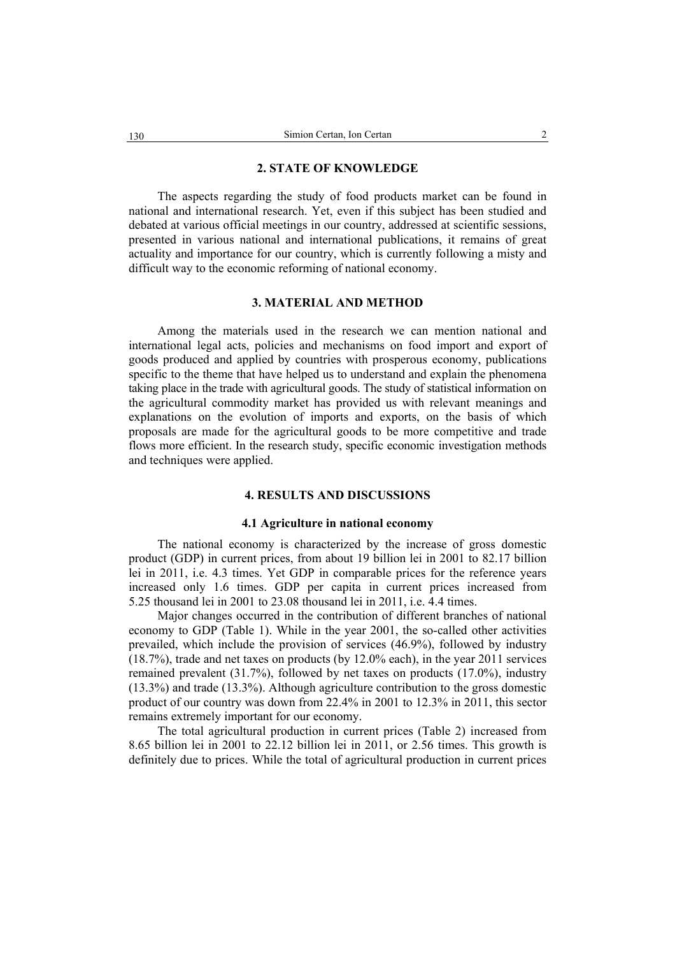#### **2. STATE OF KNOWLEDGE**

The aspects regarding the study of food products market can be found in national and international research. Yet, even if this subject has been studied and debated at various official meetings in our country, addressed at scientific sessions, presented in various national and international publications, it remains of great actuality and importance for our country, which is currently following a misty and difficult way to the economic reforming of national economy.

#### **3. MATERIAL AND METHOD**

Among the materials used in the research we can mention national and international legal acts, policies and mechanisms on food import and export of goods produced and applied by countries with prosperous economy, publications specific to the theme that have helped us to understand and explain the phenomena taking place in the trade with agricultural goods. The study of statistical information on the agricultural commodity market has provided us with relevant meanings and explanations on the evolution of imports and exports, on the basis of which proposals are made for the agricultural goods to be more competitive and trade flows more efficient. In the research study, specific economic investigation methods and techniques were applied.

## **4. RESULTS AND DISCUSSIONS**

#### **4.1 Agriculture in national economy**

The national economy is characterized by the increase of gross domestic product (GDP) in current prices, from about 19 billion lei in 2001 to 82.17 billion lei in 2011, i.e. 4.3 times. Yet GDP in comparable prices for the reference years increased only 1.6 times. GDP per capita in current prices increased from 5.25 thousand lei in 2001 to 23.08 thousand lei in 2011, i.e. 4.4 times.

Major changes occurred in the contribution of different branches of national economy to GDP (Table 1). While in the year 2001, the so-called other activities prevailed, which include the provision of services (46.9%), followed by industry (18.7%), trade and net taxes on products (by 12.0% each), in the year 2011 services remained prevalent (31.7%), followed by net taxes on products (17.0%), industry (13.3%) and trade (13.3%). Although agriculture contribution to the gross domestic product of our country was down from 22.4% in 2001 to 12.3% in 2011, this sector remains extremely important for our economy.

The total agricultural production in current prices (Table 2) increased from 8.65 billion lei in 2001 to 22.12 billion lei in 2011, or 2.56 times. This growth is definitely due to prices. While the total of agricultural production in current prices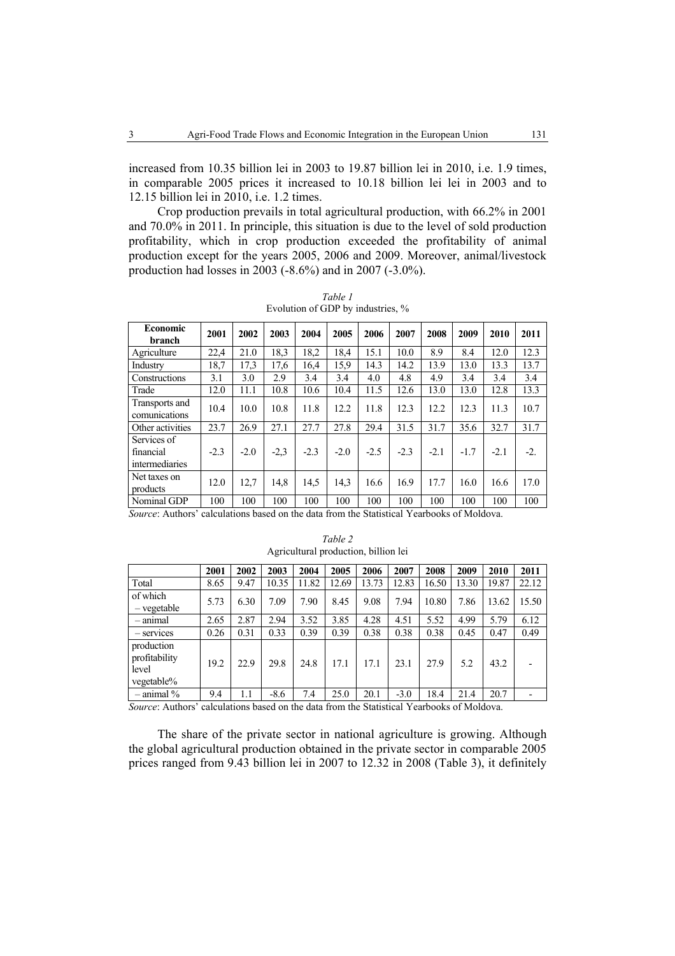increased from 10.35 billion lei in 2003 to 19.87 billion lei in 2010, i.e. 1.9 times, in comparable 2005 prices it increased to 10.18 billion lei lei in 2003 and to 12.15 billion lei in 2010, i.e. 1.2 times.

Crop production prevails in total agricultural production, with 66.2% in 2001 and 70.0% in 2011. In principle, this situation is due to the level of sold production profitability, which in crop production exceeded the profitability of animal production except for the years 2005, 2006 and 2009. Moreover, animal/livestock production had losses in 2003 (-8.6%) and in 2007 (-3.0%).

| Economic<br>branch                         | 2001   | 2002   | 2003   | 2004   | 2005   | 2006   | 2007   | 2008   | 2009   | 2010   | 2011  |
|--------------------------------------------|--------|--------|--------|--------|--------|--------|--------|--------|--------|--------|-------|
| Agriculture                                | 22,4   | 21.0   | 18.3   | 18,2   | 18,4   | 15.1   | 10.0   | 8.9    | 8.4    | 12.0   | 12.3  |
| Industry                                   | 18,7   | 17,3   | 17,6   | 16,4   | 15.9   | 14.3   | 14.2   | 13.9   | 13.0   | 13.3   | 13.7  |
| Constructions                              | 3.1    | 3.0    | 2.9    | 3.4    | 3.4    | 4.0    | 4.8    | 4.9    | 3.4    | 3.4    | 3.4   |
| Trade                                      | 12.0   | 11.1   | 10.8   | 10.6   | 10.4   | 11.5   | 12.6   | 13.0   | 13.0   | 12.8   | 13.3  |
| Transports and<br>comunications            | 10.4   | 10.0   | 10.8   | 11.8   | 12.2   | 11.8   | 12.3   | 12.2   | 12.3   | 11.3   | 10.7  |
| Other activities                           | 23.7   | 26.9   | 27.1   | 27.7   | 27.8   | 29.4   | 31.5   | 31.7   | 35.6   | 32.7   | 31.7  |
| Services of<br>financial<br>intermediaries | $-2.3$ | $-2.0$ | $-2,3$ | $-2.3$ | $-2.0$ | $-2.5$ | $-2.3$ | $-2.1$ | $-1.7$ | $-2.1$ | $-2.$ |
| Net taxes on<br>products                   | 12.0   | 12.7   | 14,8   | 14,5   | 14,3   | 16.6   | 16.9   | 17.7   | 16.0   | 16.6   | 17.0  |
| Nominal GDP                                | 100    | 100    | 100    | 100    | 100    | 100    | 100    | 100    | 100    | 100    | 100   |

*Table 1*  Evolution of GDP by industries, %

*Source*: Authors' calculations based on the data from the Statistical Yearbooks of Moldova.

|                                                    | 2001                 | 2002                | 2003             | 2004                     | 2005                             | 2006  | 2007                    | 2008                    | 2009                  | 2010  | 2011  |
|----------------------------------------------------|----------------------|---------------------|------------------|--------------------------|----------------------------------|-------|-------------------------|-------------------------|-----------------------|-------|-------|
| Total                                              | 8.65                 | 9.47                | 10.35            | 11.82                    | 12.69                            | 13.73 | 12.83                   | 16.50                   | 13.30                 | 19.87 | 22.12 |
| of which<br>- vegetable                            | 5.73                 | 6.30                | 7.09             | 7.90                     | 8.45                             | 9.08  | 7.94                    | 10.80                   | 7.86                  | 13.62 | 15.50 |
| - animal                                           | 2.65                 | 2.87                | 2.94             | 3.52                     | 3.85                             | 4.28  | 4.51                    | 5.52                    | 4.99                  | 5.79  | 6.12  |
| $-$ services                                       | 0.26                 | 0.31                | 0.33             | 0.39                     | 0.39                             | 0.38  | 0.38                    | 0.38                    | 0.45                  | 0.47  | 0.49  |
| production<br>profitability<br>level<br>vegetable% | 19.2                 | 22.9                | 29.8             | 24.8                     | 17.1                             | 17.1  | 23.1                    | 27.9                    | 5.2                   | 43.2  |       |
| $-$ animal $\%$<br>$\sim$<br>.                     | 9.4<br>$\sim$ $\sim$ | 1.1<br>$\mathbf{r}$ | $-8.6$<br>$\sim$ | 7.4<br>$\sim$ 100 $\sim$ | 25.0<br>$\sim$<br>$\sim$ 100 $-$ | 20.1  | $-3.0$<br>$\sim$ $\sim$ | 18.4<br>$\cdot$ $\cdot$ | 21.4<br>$0.75$ $-1.1$ | 20.7  |       |

*Table 2*  Agricultural production, billion lei

*Source*: Authors' calculations based on the data from the Statistical Yearbooks of Moldova.

The share of the private sector in national agriculture is growing. Although the global agricultural production obtained in the private sector in comparable 2005 prices ranged from 9.43 billion lei in 2007 to 12.32 in 2008 (Table 3), it definitely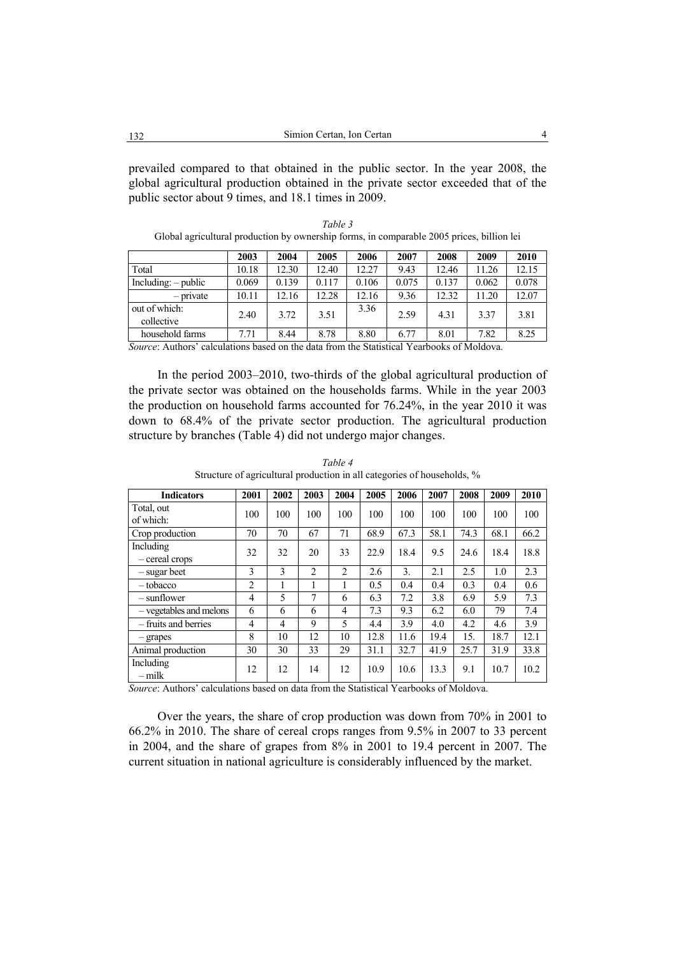prevailed compared to that obtained in the public sector. In the year 2008, the global agricultural production obtained in the private sector exceeded that of the public sector about 9 times, and 18.1 times in 2009.

|                             | 2003  | 2004  | 2005  | 2006  | 2007  | 2008  | 2009  | 2010  |
|-----------------------------|-------|-------|-------|-------|-------|-------|-------|-------|
| Total                       | 10.18 | 12.30 | 12.40 | 12.27 | 9.43  | 12.46 | 11.26 | 12.15 |
| $Including: - public$       | 0.069 | 0.139 | 0.117 | 0.106 | 0.075 | 0.137 | 0.062 | 0.078 |
| $-$ private                 | 10.11 | 12.16 | 12.28 | 12.16 | 9.36  | 12.32 | 11.20 | 12.07 |
| out of which:<br>collective | 2.40  | 3.72  | 3.51  | 3.36  | 2.59  | 4.31  | 3.37  | 3.81  |
| household farms             | 7.71  | 8.44  | 8.78  | 8.80  | 6.77  | 8.01  | 7.82  | 8.25  |

*Table 3*  Global agricultural production by ownership forms, in comparable 2005 prices, billion lei

*Source*: Authors' calculations based on the data from the Statistical Yearbooks of Moldova.

In the period 2003–2010, two-thirds of the global agricultural production of the private sector was obtained on the households farms. While in the year 2003 the production on household farms accounted for 76.24%, in the year 2010 it was down to 68.4% of the private sector production. The agricultural production structure by branches (Table 4) did not undergo major changes.

| <b>Indicators</b>           | 2001                           | 2002           | 2003           | 2004           | 2005 | 2006      | 2007 | 2008               | 2009 | 2010 |
|-----------------------------|--------------------------------|----------------|----------------|----------------|------|-----------|------|--------------------|------|------|
| Total, out<br>of which:     | 100                            | 100            | 100            | 100            | 100  | 100       | 100  | 100                | 100  | 100  |
| Crop production             | 70                             | 70             | 67             | 71             | 68.9 | 67.3      | 58.1 | 74.3               | 68.1 | 66.2 |
| Including<br>- cereal crops | 32                             | 32             | 20             | 33             | 22.9 | 18.4      | 9.5  | 24.6               | 18.4 | 18.8 |
| - sugar beet                | 3                              | 3              | $\overline{2}$ | $\overline{2}$ | 2.6  | 3.        | 2.1  | 2.5                | 1.0  | 2.3  |
| $-$ tobacco                 | $\overline{c}$                 |                |                | 1              | 0.5  | 0.4       | 0.4  | 0.3                | 0.4  | 0.6  |
| – sunflower                 | 4                              | 5              | 7              | 6              | 6.3  | 7.2       | 3.8  | 6.9                | 5.9  | 7.3  |
| - vegetables and melons     | 6                              | 6              | 6              | 4              | 7.3  | 9.3       | 6.2  | 6.0                | 79   | 7.4  |
| - fruits and berries        | 4                              | $\overline{4}$ | 9              | 5              | 4.4  | 3.9       | 4.0  | 4.2                | 4.6  | 3.9  |
| - grapes                    | 8                              | 10             | 12             | 10             | 12.8 | 11.6      | 19.4 | 15.                | 18.7 | 12.1 |
| Animal production           | 30                             | 30             | 33             | 29             | 31.1 | 32.7      | 41.9 | 25.7               | 31.9 | 33.8 |
| Including<br>$-milk$        | 12<br>$\overline{\phantom{a}}$ | 12             | 14             | 12             | 10.9 | 10.6<br>. | 13.3 | 9.1<br>$- - - - -$ | 10.7 | 10.2 |

*Table 4*  Structure of agricultural production in all categories of households, %

*Source*: Authors' calculations based on data from the Statistical Yearbooks of Moldova.

Over the years, the share of crop production was down from 70% in 2001 to 66.2% in 2010. The share of cereal crops ranges from 9.5% in 2007 to 33 percent in 2004, and the share of grapes from 8% in 2001 to 19.4 percent in 2007. The current situation in national agriculture is considerably influenced by the market.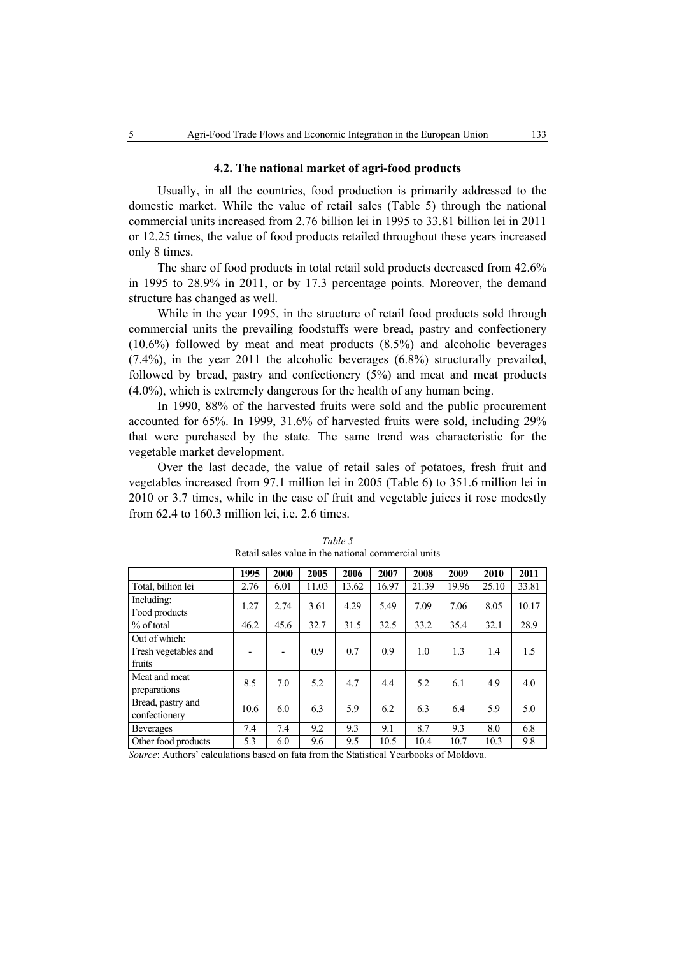#### **4.2. The national market of agri-food products**

Usually, in all the countries, food production is primarily addressed to the domestic market. While the value of retail sales (Table 5) through the national commercial units increased from 2.76 billion lei in 1995 to 33.81 billion lei in 2011 or 12.25 times, the value of food products retailed throughout these years increased only 8 times.

The share of food products in total retail sold products decreased from 42.6% in 1995 to 28.9% in 2011, or by 17.3 percentage points. Moreover, the demand structure has changed as well.

While in the year 1995, in the structure of retail food products sold through commercial units the prevailing foodstuffs were bread, pastry and confectionery (10.6%) followed by meat and meat products (8.5%) and alcoholic beverages (7.4%), in the year 2011 the alcoholic beverages (6.8%) structurally prevailed, followed by bread, pastry and confectionery (5%) and meat and meat products (4.0%), which is extremely dangerous for the health of any human being.

In 1990, 88% of the harvested fruits were sold and the public procurement accounted for 65%. In 1999, 31.6% of harvested fruits were sold, including 29% that were purchased by the state. The same trend was characteristic for the vegetable market development.

Over the last decade, the value of retail sales of potatoes, fresh fruit and vegetables increased from 97.1 million lei in 2005 (Table 6) to 351.6 million lei in 2010 or 3.7 times, while in the case of fruit and vegetable juices it rose modestly from 62.4 to 160.3 million lei, i.e. 2.6 times.

|                      | 1995 | 2000 | 2005  | 2006  | 2007  | 2008  | 2009  | 2010  | 2011  |
|----------------------|------|------|-------|-------|-------|-------|-------|-------|-------|
| Total, billion lei   | 2.76 | 6.01 | 11.03 | 13.62 | 16.97 | 21.39 | 19.96 | 25.10 | 33.81 |
| Including:           | 1.27 | 2.74 | 3.61  | 4.29  | 5.49  | 7.09  | 7.06  | 8.05  | 10.17 |
| Food products        |      |      |       |       |       |       |       |       |       |
| % of total           | 46.2 | 45.6 | 32.7  | 31.5  | 32.5  | 33.2  | 35.4  | 32.1  | 28.9  |
| Out of which:        |      |      |       |       |       |       |       |       |       |
| Fresh vegetables and |      |      | 0.9   | 0.7   | 0.9   | 1.0   | 1.3   | 1.4   | 1.5   |
| fruits               |      |      |       |       |       |       |       |       |       |
| Meat and meat        | 8.5  | 7.0  | 5.2   | 4.7   | 4.4   | 5.2   | 6.1   | 4.9   | 4.0   |
| preparations         |      |      |       |       |       |       |       |       |       |
| Bread, pastry and    | 10.6 | 6.0  | 6.3   | 5.9   | 6.2   | 6.3   | 6.4   | 5.9   | 5.0   |
| confectionery        |      |      |       |       |       |       |       |       |       |
| <b>Beverages</b>     | 7.4  | 7.4  | 9.2   | 9.3   | 9.1   | 8.7   | 9.3   | 8.0   | 6.8   |
| Other food products  | 5.3  | 6.0  | 9.6   | 9.5   | 10.5  | 10.4  | 10.7  | 10.3  | 9.8   |
|                      |      |      |       |       |       |       |       |       |       |

*Table 5*  Retail sales value in the national commercial units

*Source*: Authors' calculations based on fata from the Statistical Yearbooks of Moldova.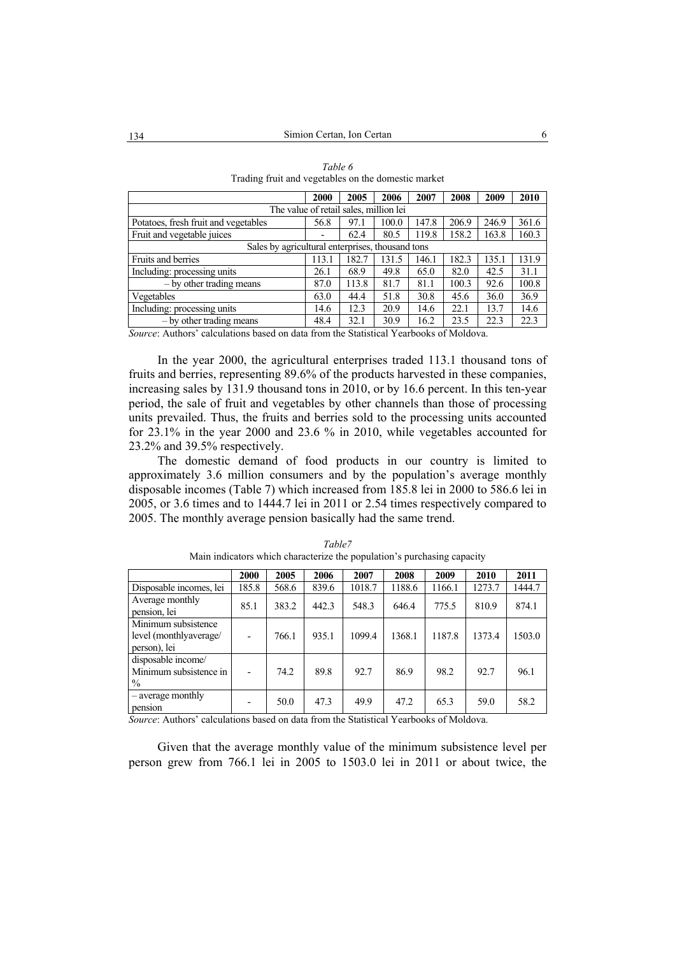|                                                  | 2000                                   | 2005  | 2006  | 2007  | 2008  | 2009  | 2010  |
|--------------------------------------------------|----------------------------------------|-------|-------|-------|-------|-------|-------|
|                                                  | The value of retail sales, million lei |       |       |       |       |       |       |
| Potatoes, fresh fruit and vegetables             | 56.8                                   | 97.1  | 100.0 | 147.8 | 206.9 | 246.9 | 361.6 |
| Fruit and vegetable juices                       |                                        | 62.4  | 80.5  | 119.8 | 158.2 | 163.8 | 160.3 |
| Sales by agricultural enterprises, thousand tons |                                        |       |       |       |       |       |       |
| Fruits and berries                               | 113.1                                  | 182.7 | 131.5 | 146.1 | 182.3 | 135.1 | 131.9 |
| Including: processing units                      | 26.1                                   | 68.9  | 49.8  | 65.0  | 82.0  | 42.5  | 31.1  |
| - by other trading means                         | 87.0                                   | 113.8 | 81.7  | 81.1  | 100.3 | 92.6  | 100.8 |
| Vegetables                                       | 63.0                                   | 44.4  | 51.8  | 30.8  | 45.6  | 36.0  | 36.9  |
| Including: processing units                      | 14.6                                   | 12.3  | 20.9  | 14.6  | 22.1  | 13.7  | 14.6  |
| $-$ by other trading means                       | 48.4                                   | 32.1  | 30.9  | 16.2  | 23.5  | 22.3  | 22.3  |

| Table 6                                             |
|-----------------------------------------------------|
| Trading fruit and vegetables on the domestic market |

*Source*: Authors' calculations based on data from the Statistical Yearbooks of Moldova.

In the year 2000, the agricultural enterprises traded 113.1 thousand tons of fruits and berries, representing 89.6% of the products harvested in these companies, increasing sales by 131.9 thousand tons in 2010, or by 16.6 percent. In this ten-year period, the sale of fruit and vegetables by other channels than those of processing units prevailed. Thus, the fruits and berries sold to the processing units accounted for 23.1% in the year 2000 and 23.6 % in 2010, while vegetables accounted for 23.2% and 39.5% respectively.

The domestic demand of food products in our country is limited to approximately 3.6 million consumers and by the population's average monthly disposable incomes (Table 7) which increased from 185.8 lei in 2000 to 586.6 lei in 2005, or 3.6 times and to 1444.7 lei in 2011 or 2.54 times respectively compared to 2005. The monthly average pension basically had the same trend.

|                                                               | 2000  | 2005  | 2006  | 2007   | 2008   | 2009   | 2010   | 2011   |
|---------------------------------------------------------------|-------|-------|-------|--------|--------|--------|--------|--------|
| Disposable incomes, lei                                       | 185.8 | 568.6 | 839.6 | 1018.7 | 1188.6 | 1166.1 | 1273.7 | 1444.7 |
| Average monthly<br>pension, lei                               | 85.1  | 383.2 | 442.3 | 548.3  | 646.4  | 775.5  | 810.9  | 874.1  |
| Minimum subsistence<br>level (monthlyaverage/<br>person), lei |       | 766.1 | 935.1 | 1099.4 | 1368.1 | 1187.8 | 1373.4 | 1503.0 |
| disposable income/<br>Minimum subsistence in<br>$\%$          |       | 74.2  | 89.8  | 92.7   | 86.9   | 98.2   | 92.7   | 96.1   |
| - average monthly<br>pension                                  |       | 50.0  | 47.3  | 49.9   | 47.2   | 65.3   | 59.0   | 58.2   |

*Table7*  Main indicators which characterize the population's purchasing capacity

*Source*: Authors' calculations based on data from the Statistical Yearbooks of Moldova.

Given that the average monthly value of the minimum subsistence level per person grew from 766.1 lei in 2005 to 1503.0 lei in 2011 or about twice, the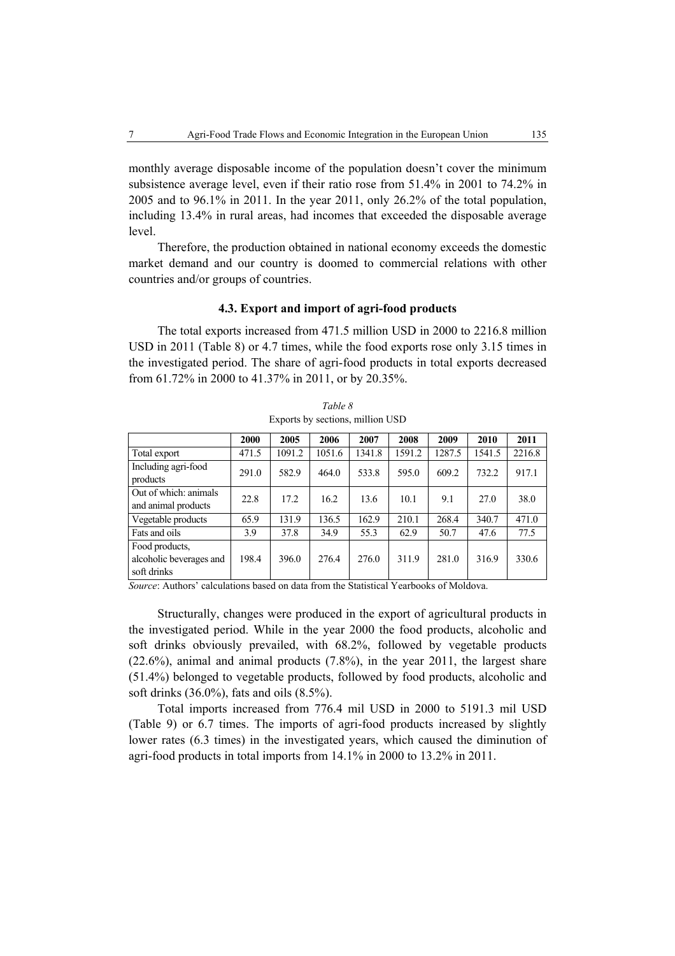monthly average disposable income of the population doesn't cover the minimum subsistence average level, even if their ratio rose from 51.4% in 2001 to 74.2% in 2005 and to 96.1% in 2011. In the year 2011, only 26.2% of the total population, including 13.4% in rural areas, had incomes that exceeded the disposable average level.

Therefore, the production obtained in national economy exceeds the domestic market demand and our country is doomed to commercial relations with other countries and/or groups of countries.

#### **4.3. Export and import of agri-food products**

The total exports increased from 471.5 million USD in 2000 to 2216.8 million USD in 2011 (Table 8) or 4.7 times, while the food exports rose only 3.15 times in the investigated period. The share of agri-food products in total exports decreased from 61.72% in 2000 to 41.37% in 2011, or by 20.35%.

|                                                          | 2000  | 2005   | 2006   | 2007   | 2008   | 2009   | 2010   | 2011   |
|----------------------------------------------------------|-------|--------|--------|--------|--------|--------|--------|--------|
| Total export                                             | 471.5 | 1091.2 | 1051.6 | 1341.8 | 1591.2 | 1287.5 | 1541.5 | 2216.8 |
| Including agri-food<br>products                          | 291.0 | 582.9  | 464.0  | 533.8  | 595.0  | 609.2  | 732.2  | 917.1  |
| Out of which: animals<br>and animal products             | 22.8  | 17.2   | 16.2   | 13.6   | 10.1   | 9.1    | 27.0   | 38.0   |
| Vegetable products                                       | 65.9  | 131.9  | 136.5  | 162.9  | 210.1  | 268.4  | 340.7  | 471.0  |
| Fats and oils                                            | 3.9   | 37.8   | 34.9   | 55.3   | 62.9   | 50.7   | 47.6   | 77.5   |
| Food products,<br>alcoholic beverages and<br>soft drinks | 198.4 | 396.0  | 276.4  | 276.0  | 311.9  | 281.0  | 316.9  | 330.6  |

*Table 8*  Exports by sections, million USD

*Source*: Authors' calculations based on data from the Statistical Yearbooks of Moldova.

Structurally, changes were produced in the export of agricultural products in the investigated period. While in the year 2000 the food products, alcoholic and soft drinks obviously prevailed, with 68.2%, followed by vegetable products (22.6%), animal and animal products (7.8%), in the year 2011, the largest share (51.4%) belonged to vegetable products, followed by food products, alcoholic and soft drinks (36.0%), fats and oils (8.5%).

Total imports increased from 776.4 mil USD in 2000 to 5191.3 mil USD (Table 9) or 6.7 times. The imports of agri-food products increased by slightly lower rates (6.3 times) in the investigated years, which caused the diminution of agri-food products in total imports from 14.1% in 2000 to 13.2% in 2011.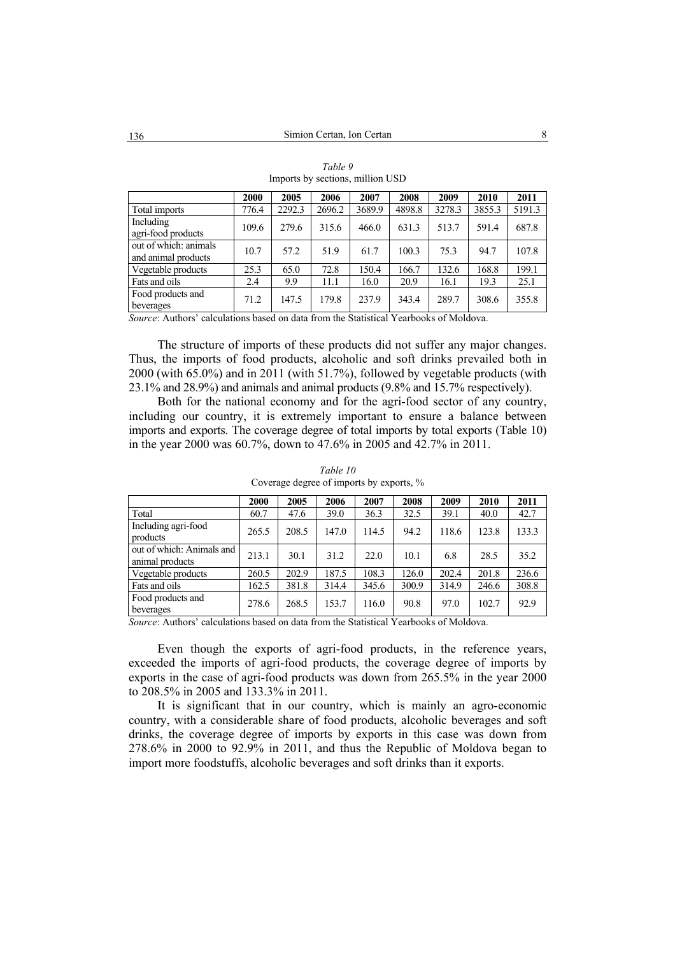|                                              | 2000  | 2005   | 2006   | 2007   | 2008   | 2009   | 2010   | 2011   |
|----------------------------------------------|-------|--------|--------|--------|--------|--------|--------|--------|
| Total imports                                | 776.4 | 2292.3 | 2696.2 | 3689.9 | 4898.8 | 3278.3 | 3855.3 | 5191.3 |
| Including<br>agri-food products              | 109.6 | 279.6  | 315.6  | 466.0  | 631.3  | 513.7  | 591.4  | 687.8  |
| out of which: animals<br>and animal products | 10.7  | 57.2   | 51.9   | 61.7   | 100.3  | 75.3   | 94.7   | 107.8  |
| Vegetable products                           | 25.3  | 65.0   | 72.8   | 150.4  | 166.7  | 132.6  | 168.8  | 199.1  |
| Fats and oils                                | 2.4   | 9.9    | 11.1   | 16.0   | 20.9   | 16.1   | 19.3   | 25.1   |
| Food products and<br>beverages               | 71.2  | 147.5  | 179.8  | 237.9  | 343.4  | 289.7  | 308.6  | 355.8  |

*Table 9*  Imports by sections, million USD

*Source*: Authors' calculations based on data from the Statistical Yearbooks of Moldova.

The structure of imports of these products did not suffer any major changes. Thus, the imports of food products, alcoholic and soft drinks prevailed both in 2000 (with 65.0%) and in 2011 (with 51.7%), followed by vegetable products (with 23.1% and 28.9%) and animals and animal products (9.8% and 15.7% respectively).

Both for the national economy and for the agri-food sector of any country, including our country, it is extremely important to ensure a balance between imports and exports. The coverage degree of total imports by total exports (Table 10) in the year 2000 was 60.7%, down to 47.6% in 2005 and 42.7% in 2011.

|                                              | <b>2000</b> | 2005  | 2006  | 2007  | 2008  | 2009  | 2010  | 2011  |
|----------------------------------------------|-------------|-------|-------|-------|-------|-------|-------|-------|
| Total                                        | 60.7        | 47.6  | 39.0  | 36.3  | 32.5  | 39.1  | 40.0  | 42.7  |
| Including agri-food<br>products              | 265.5       | 208.5 | 147.0 | 114.5 | 94.2  | 118.6 | 123.8 | 133.3 |
| out of which: Animals and<br>animal products | 213.1       | 30.1  | 31.2  | 22.0  | 10.1  | 6.8   | 28.5  | 35.2  |
| Vegetable products                           | 260.5       | 202.9 | 187.5 | 108.3 | 126.0 | 202.4 | 201.8 | 236.6 |
| Fats and oils                                | 162.5       | 381.8 | 314.4 | 345.6 | 300.9 | 314.9 | 246.6 | 308.8 |
| Food products and<br>beverages               | 278.6       | 268.5 | 153.7 | 116.0 | 90.8  | 97.0  | 102.7 | 92.9  |

*Table 10*  Coverage degree of imports by exports, %

*Source*: Authors' calculations based on data from the Statistical Yearbooks of Moldova.

Even though the exports of agri-food products, in the reference years, exceeded the imports of agri-food products, the coverage degree of imports by exports in the case of agri-food products was down from 265.5% in the year 2000 to 208.5% in 2005 and 133.3% in 2011.

It is significant that in our country, which is mainly an agro-economic country, with a considerable share of food products, alcoholic beverages and soft drinks, the coverage degree of imports by exports in this case was down from 278.6% in 2000 to 92.9% in 2011, and thus the Republic of Moldova began to import more foodstuffs, alcoholic beverages and soft drinks than it exports.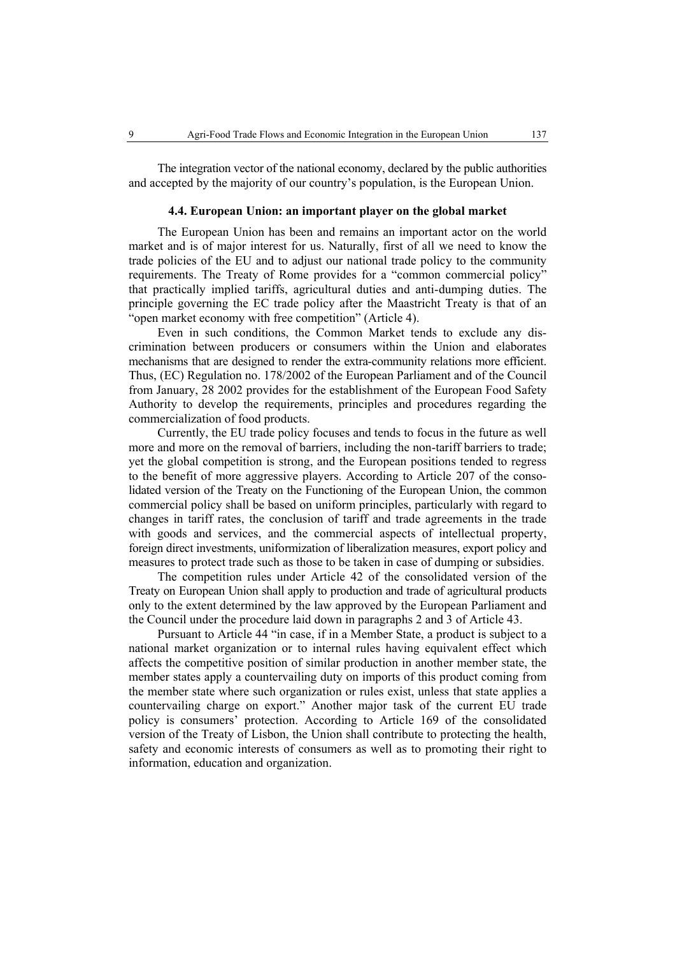The integration vector of the national economy, declared by the public authorities and accepted by the majority of our country's population, is the European Union.

#### **4.4. European Union: an important player on the global market**

The European Union has been and remains an important actor on the world market and is of major interest for us. Naturally, first of all we need to know the trade policies of the EU and to adjust our national trade policy to the community requirements. The Treaty of Rome provides for a "common commercial policy" that practically implied tariffs, agricultural duties and anti-dumping duties. The principle governing the EC trade policy after the Maastricht Treaty is that of an "open market economy with free competition" (Article 4).

Even in such conditions, the Common Market tends to exclude any discrimination between producers or consumers within the Union and elaborates mechanisms that are designed to render the extra-community relations more efficient. Thus, (EC) Regulation no. 178/2002 of the European Parliament and of the Council from January, 28 2002 provides for the establishment of the European Food Safety Authority to develop the requirements, principles and procedures regarding the commercialization of food products.

Currently, the EU trade policy focuses and tends to focus in the future as well more and more on the removal of barriers, including the non-tariff barriers to trade; yet the global competition is strong, and the European positions tended to regress to the benefit of more aggressive players. According to Article 207 of the consolidated version of the Treaty on the Functioning of the European Union, the common commercial policy shall be based on uniform principles, particularly with regard to changes in tariff rates, the conclusion of tariff and trade agreements in the trade with goods and services, and the commercial aspects of intellectual property, foreign direct investments, uniformization of liberalization measures, export policy and measures to protect trade such as those to be taken in case of dumping or subsidies.

The competition rules under Article 42 of the consolidated version of the Treaty on European Union shall apply to production and trade of agricultural products only to the extent determined by the law approved by the European Parliament and the Council under the procedure laid down in paragraphs 2 and 3 of Article 43.

Pursuant to Article 44 "in case, if in a Member State, a product is subject to a national market organization or to internal rules having equivalent effect which affects the competitive position of similar production in another member state, the member states apply a countervailing duty on imports of this product coming from the member state where such organization or rules exist, unless that state applies a countervailing charge on export." Another major task of the current EU trade policy is consumers' protection. According to Article 169 of the consolidated version of the Treaty of Lisbon, the Union shall contribute to protecting the health, safety and economic interests of consumers as well as to promoting their right to information, education and organization.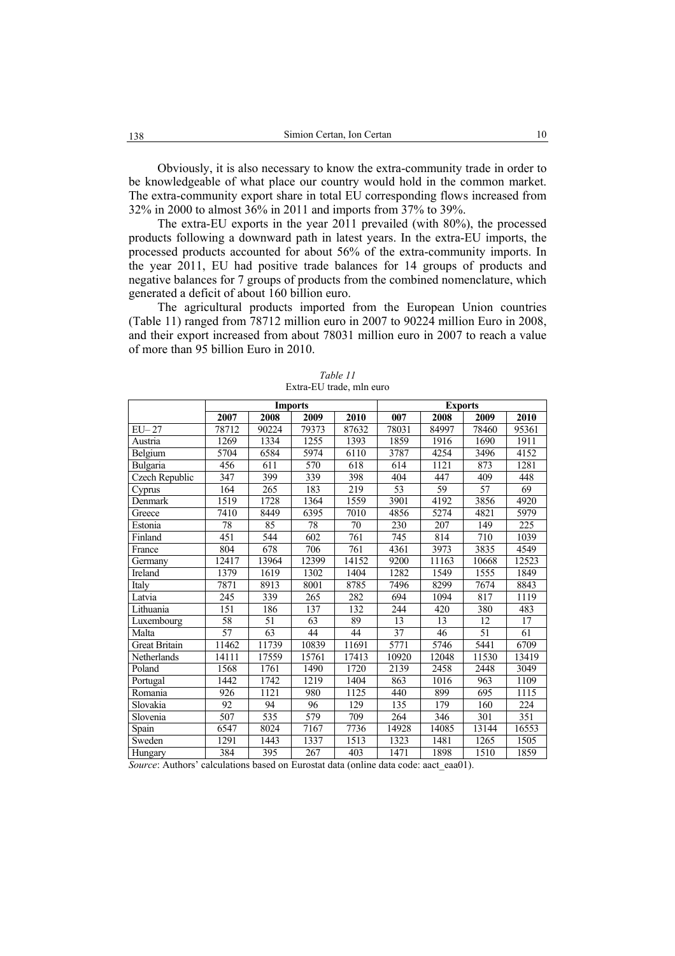Obviously, it is also necessary to know the extra-community trade in order to be knowledgeable of what place our country would hold in the common market. The extra-community export share in total EU corresponding flows increased from 32% in 2000 to almost 36% in 2011 and imports from 37% to 39%.

The extra-EU exports in the year 2011 prevailed (with 80%), the processed products following a downward path in latest years. In the extra-EU imports, the processed products accounted for about 56% of the extra-community imports. In the year 2011, EU had positive trade balances for 14 groups of products and negative balances for 7 groups of products from the combined nomenclature, which generated a deficit of about 160 billion euro.

The agricultural products imported from the European Union countries (Table 11) ranged from 78712 million euro in 2007 to 90224 million Euro in 2008, and their export increased from about 78031 million euro in 2007 to reach a value of more than 95 billion Euro in 2010.

|                       |                 |                  | <b>Imports</b> |                  |                  | <b>Exports</b>   |                 |                  |
|-----------------------|-----------------|------------------|----------------|------------------|------------------|------------------|-----------------|------------------|
|                       | 2007            | 2008             | 2009           | 2010             | 007              | 2008             | 2009            | 2010             |
| $EU-27$               | 78712           | 90224            | 79373          | 87632            | 78031            | 84997            | 78460           | 95361            |
| Austria               | 1269            | 1334             | 1255           | 1393             | 1859             | 1916             | 1690            | 1911             |
| Belgium               | 5704            | 6584             | 5974           | 6110             | 3787             | 4254             | 3496            | 4152             |
| Bulgaria              | 456             | 611              | 570            | 618              | 614              | 1121             | 873             | 1281             |
| <b>Czech Republic</b> | 347             | 399              | 339            | 398              | 404              | 447              | 409             | 448              |
| Cyprus                | 164             | 265              | 183            | 219              | 53               | 59               | $\overline{57}$ | 69               |
| Denmark               | 1519            | 1728             | 1364           | 1559             | 3901             | 4192             | 3856            | 4920             |
| Greece                | 7410            | 8449             | 6395           | 7010             | 4856             | 5274             | 4821            | 5979             |
| Estonia               | 78              | 85               | 78             | 70               | 230              | 207              | 149             | 225              |
| Finland               | 451             | 544              | 602            | $\overline{761}$ | 745              | $\overline{8}14$ | 710             | 1039             |
| France                | 804             | 678              | 706            | 761              | 4361             | 3973             | 3835            | 4549             |
| Germany               | 12417           | 13964            | 12399          | 14152            | 9200             | 11163            | 10668           | 12523            |
| Ireland               | 1379            | 1619             | 1302           | 1404             | 1282             | 1549             | 1555            | 1849             |
| Italy                 | 7871            | 8913             | 8001           | 8785             | 7496             | 8299             | 7674            | 8843             |
| Latvia                | 245             | 339              | 265            | 282              | 694              | 1094             | 817             | 1119             |
| Lithuania             | 151             | 186              | 137            | 132              | 244              | 420              | 380             | 483              |
| Luxembourg            | 58              | 51               | 63             | 89               | 13               | 13               | 12              | 17               |
| Malta                 | $\overline{57}$ | 63               | 44             | 44               | 37               | 46               | 51              | 61               |
| <b>Great Britain</b>  | 11462           | 11739            | 10839          | 11691            | 5771             | 5746             | 5441            | 6709             |
| Netherlands           | 14111           | 17559            | 15761          | 17413            | 10920            | 12048            | 11530           | 13419            |
| Poland                | 1568            | 1761             | 1490           | 1720             | 2139             | 2458             | 2448            | 3049             |
| Portugal              | 1442            | 1742             | 1219           | 1404             | 863              | 1016             | 963             | 1109             |
| Romania               | 926             | 1121             | 980            | 1125             | 440              | 899              | 695             | 1115             |
| Slovakia              | $\overline{92}$ | 94               | 96             | 129              | $\overline{135}$ | 179              | 160             | $\overline{2}24$ |
| Slovenia              | 507             | 535              | 579            | 709              | 264              | 346              | 301             | 351              |
| Spain                 | 6547            | 8024             | 7167           | 7736             | 14928            | 14085            | 13144           | 16553            |
| Sweden                | 1291            | 1443             | 1337           | 1513             | 1323             | 1481             | 1265            | 1505             |
| Hungary               | 384             | $\overline{395}$ | 267            | 403              | 1471             | 1898             | 1510            | 1859             |

*Table 11*  Extra-EU trade, mln euro

*Source*: Authors' calculations based on Eurostat data (online data code: aact\_eaa01).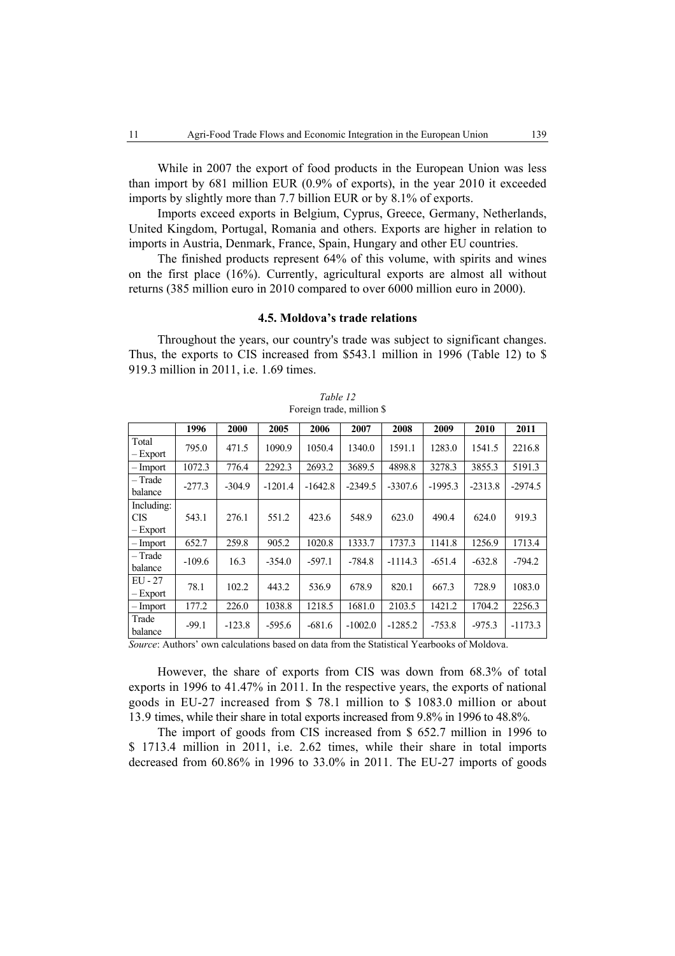While in 2007 the export of food products in the European Union was less than import by 681 million EUR (0.9% of exports), in the year 2010 it exceeded imports by slightly more than 7.7 billion EUR or by 8.1% of exports.

Imports exceed exports in Belgium, Cyprus, Greece, Germany, Netherlands, United Kingdom, Portugal, Romania and others. Exports are higher in relation to imports in Austria, Denmark, France, Spain, Hungary and other EU countries.

The finished products represent 64% of this volume, with spirits and wines on the first place (16%). Currently, agricultural exports are almost all without returns (385 million euro in 2010 compared to over 6000 million euro in 2000).

#### **4.5. Moldova's trade relations**

Throughout the years, our country's trade was subject to significant changes. Thus, the exports to CIS increased from \$543.1 million in 1996 (Table 12) to \$ 919.3 million in 2011, i.e. 1.69 times.

|                                      | 1996     | 2000     | 2005      | 2006      | 2007      | 2008      | 2009      | 2010      | 2011      |
|--------------------------------------|----------|----------|-----------|-----------|-----------|-----------|-----------|-----------|-----------|
| Total<br>$-$ Export                  | 795.0    | 471.5    | 1090.9    | 1050.4    | 1340.0    | 1591.1    | 1283.0    | 1541.5    | 2216.8    |
| - Import                             | 1072.3   | 776.4    | 2292.3    | 2693.2    | 3689.5    | 4898.8    | 3278.3    | 3855.3    | 5191.3    |
| - Trade<br>balance                   | $-277.3$ | $-304.9$ | $-1201.4$ | $-1642.8$ | $-2349.5$ | $-3307.6$ | $-1995.3$ | $-2313.8$ | $-2974.5$ |
| Including:<br><b>CIS</b><br>– Export | 543.1    | 276.1    | 551.2     | 423.6     | 548.9     | 623.0     | 490.4     | 624.0     | 919.3     |
| - Import                             | 652.7    | 259.8    | 905.2     | 1020.8    | 1333.7    | 1737.3    | 1141.8    | 1256.9    | 1713.4    |
| - Trade<br>balance                   | $-109.6$ | 16.3     | $-354.0$  | $-597.1$  | $-784.8$  | $-1114.3$ | $-651.4$  | $-632.8$  | $-794.2$  |
| $EU - 27$<br>$-$ Export              | 78.1     | 102.2    | 443.2     | 536.9     | 678.9     | 820.1     | 667.3     | 728.9     | 1083.0    |
| – Import                             | 177.2    | 226.0    | 1038.8    | 1218.5    | 1681.0    | 2103.5    | 1421.2    | 1704.2    | 2256.3    |
| Trade<br>balance                     | $-99.1$  | $-123.8$ | $-595.6$  | $-681.6$  | $-1002.0$ | $-1285.2$ | $-753.8$  | $-975.3$  | $-1173.3$ |

*Table 12*  Foreign trade, million \$

*Source*: Authors' own calculations based on data from the Statistical Yearbooks of Moldova.

However, the share of exports from CIS was down from 68.3% of total exports in 1996 to 41.47% in 2011. In the respective years, the exports of national goods in EU-27 increased from \$ 78.1 million to \$ 1083.0 million or about 13.9 times, while their share in total exports increased from 9.8% in 1996 to 48.8%.

The import of goods from CIS increased from \$ 652.7 million in 1996 to \$ 1713.4 million in 2011, i.e. 2.62 times, while their share in total imports decreased from 60.86% in 1996 to 33.0% in 2011. The EU-27 imports of goods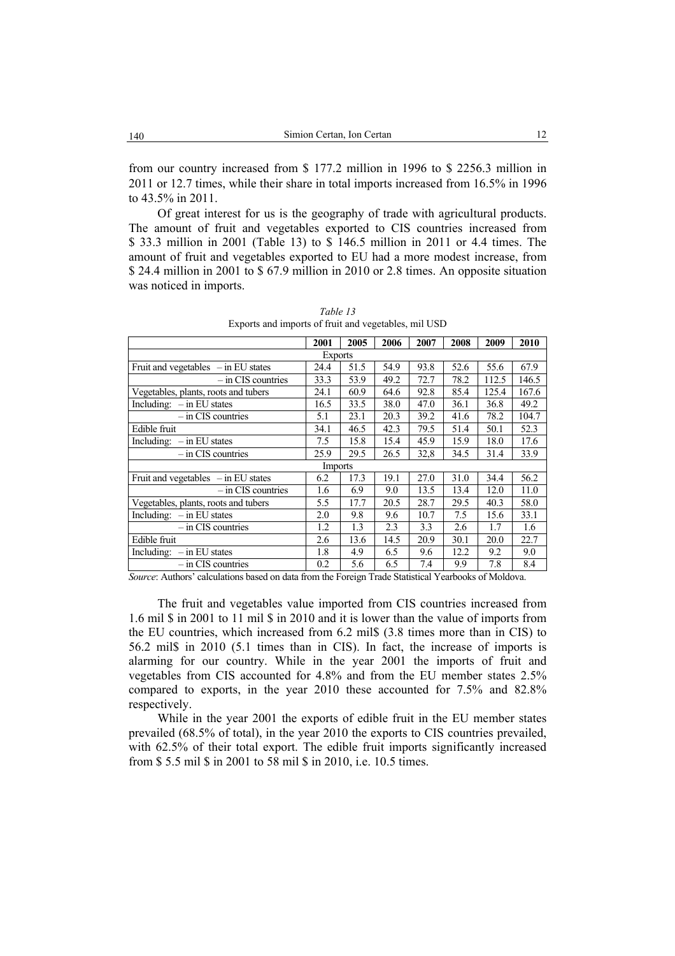from our country increased from \$ 177.2 million in 1996 to \$ 2256.3 million in 2011 or 12.7 times, while their share in total imports increased from 16.5% in 1996 to 43.5% in 2011.

Of great interest for us is the geography of trade with agricultural products. The amount of fruit and vegetables exported to CIS countries increased from \$ 33.3 million in 2001 (Table 13) to \$ 146.5 million in 2011 or 4.4 times. The amount of fruit and vegetables exported to EU had a more modest increase, from \$ 24.4 million in 2001 to \$ 67.9 million in 2010 or 2.8 times. An opposite situation was noticed in imports.

|                                       | 2001           | 2005 | 2006 | 2007 | 2008 | 2009  | 2010  |  |
|---------------------------------------|----------------|------|------|------|------|-------|-------|--|
| <b>Exports</b>                        |                |      |      |      |      |       |       |  |
| Fruit and vegetables $-$ in EU states | 24.4           | 51.5 | 54.9 | 93.8 | 52.6 | 55.6  | 67.9  |  |
| $-$ in CIS countries                  | 33.3           | 53.9 | 49.2 | 72.7 | 78.2 | 112.5 | 146.5 |  |
| Vegetables, plants, roots and tubers  | 24.1           | 60.9 | 64.6 | 92.8 | 85.4 | 125.4 | 167.6 |  |
| Including: $-$ in EU states           | 16.5           | 33.5 | 38.0 | 47.0 | 36.1 | 36.8  | 49.2  |  |
| $-$ in CIS countries                  | 5.1            | 23.1 | 20.3 | 39.2 | 41.6 | 78.2  | 104.7 |  |
| Edible fruit                          | 34.1           | 46.5 | 42.3 | 79.5 | 51.4 | 50.1  | 52.3  |  |
| Including: $-$ in EU states           | 7.5            | 15.8 | 15.4 | 45.9 | 15.9 | 18.0  | 17.6  |  |
| $-$ in CIS countries                  | 25.9           | 29.5 | 26.5 | 32,8 | 34.5 | 31.4  | 33.9  |  |
|                                       | <b>Imports</b> |      |      |      |      |       |       |  |
| Fruit and vegetables $-$ in EU states | 6.2            | 17.3 | 19.1 | 27.0 | 31.0 | 34.4  | 56.2  |  |
| $-$ in CIS countries                  | 1.6            | 6.9  | 9.0  | 13.5 | 13.4 | 12.0  | 11.0  |  |
| Vegetables, plants, roots and tubers  | 5.5            | 17.7 | 20.5 | 28.7 | 29.5 | 40.3  | 58.0  |  |
| Including: $-$ in EU states           | 2.0            | 9.8  | 9.6  | 10.7 | 7.5  | 15.6  | 33.1  |  |
| $-$ in CIS countries                  | 1.2            | 1.3  | 2.3  | 3.3  | 2.6  | 1.7   | 1.6   |  |
| Edible fruit                          | 2.6            | 13.6 | 14.5 | 20.9 | 30.1 | 20.0  | 22.7  |  |
| Including: $-$ in EU states           | 1.8            | 4.9  | 6.5  | 9.6  | 12.2 | 9.2   | 9.0   |  |
| $-$ in CIS countries                  | 0.2            | 5.6  | 6.5  | 7.4  | 9.9  | 7.8   | 8.4   |  |

*Table 13*  Exports and imports of fruit and vegetables, mil USD

*Source*: Authors' calculations based on data from the Foreign Trade Statistical Yearbooks of Moldova.

The fruit and vegetables value imported from CIS countries increased from 1.6 mil \$ in 2001 to 11 mil \$ in 2010 and it is lower than the value of imports from the EU countries, which increased from 6.2 mil\$ (3.8 times more than in CIS) to 56.2 mil\$ in 2010 (5.1 times than in CIS). In fact, the increase of imports is alarming for our country. While in the year 2001 the imports of fruit and vegetables from CIS accounted for 4.8% and from the EU member states 2.5% compared to exports, in the year 2010 these accounted for 7.5% and 82.8% respectively.

While in the year 2001 the exports of edible fruit in the EU member states prevailed (68.5% of total), in the year 2010 the exports to CIS countries prevailed, with 62.5% of their total export. The edible fruit imports significantly increased from \$ 5.5 mil \$ in 2001 to 58 mil \$ in 2010, i.e. 10.5 times.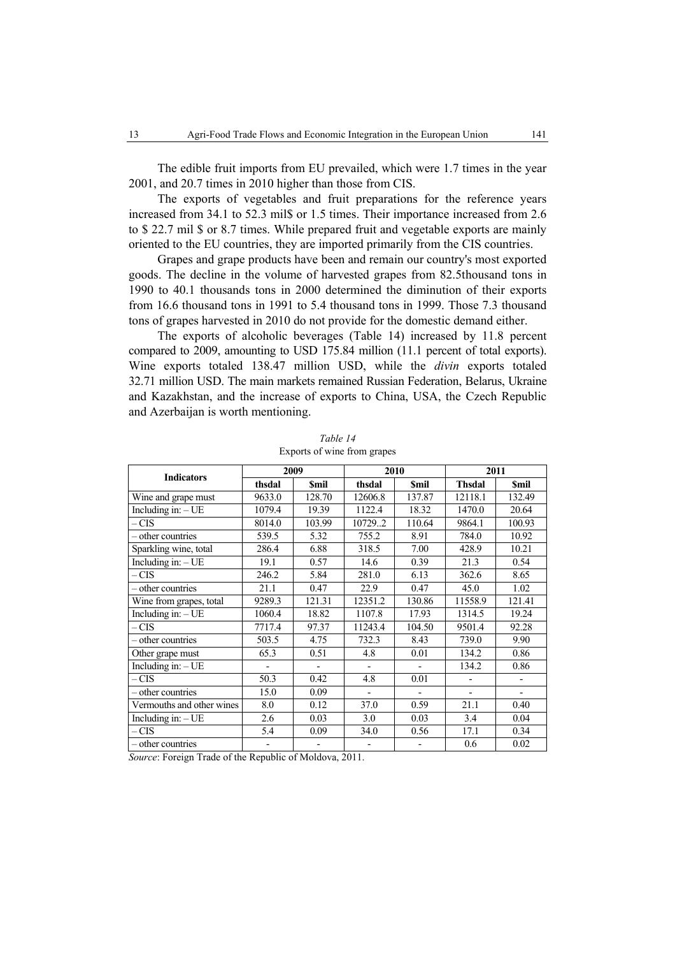The edible fruit imports from EU prevailed, which were 1.7 times in the year 2001, and 20.7 times in 2010 higher than those from CIS.

The exports of vegetables and fruit preparations for the reference years increased from 34.1 to 52.3 mil\$ or 1.5 times. Their importance increased from 2.6 to \$ 22.7 mil \$ or 8.7 times. While prepared fruit and vegetable exports are mainly oriented to the EU countries, they are imported primarily from the CIS countries.

Grapes and grape products have been and remain our country's most exported goods. The decline in the volume of harvested grapes from 82.5thousand tons in 1990 to 40.1 thousands tons in 2000 determined the diminution of their exports from 16.6 thousand tons in 1991 to 5.4 thousand tons in 1999. Those 7.3 thousand tons of grapes harvested in 2010 do not provide for the domestic demand either.

The exports of alcoholic beverages (Table 14) increased by 11.8 percent compared to 2009, amounting to USD 175.84 million (11.1 percent of total exports). Wine exports totaled 138.47 million USD, while the *divin* exports totaled 32.71 million USD. The main markets remained Russian Federation, Belarus, Ukraine and Kazakhstan, and the increase of exports to China, USA, the Czech Republic and Azerbaijan is worth mentioning.

| <b>Indicators</b>         | 2009   |             | 2010    |             | 2011           |                          |  |
|---------------------------|--------|-------------|---------|-------------|----------------|--------------------------|--|
|                           | thsdal | <b>Smil</b> | thsdal  | <b>Smil</b> | <b>Thsdal</b>  | <b>Smil</b>              |  |
| Wine and grape must       | 9633.0 | 128.70      | 12606.8 | 137.87      | 12118.1        | 132.49                   |  |
| Including in: $-UE$       | 1079.4 | 19.39       | 1122.4  | 18.32       | 1470.0         | 20.64                    |  |
| – CIS                     | 8014.0 | 103.99      | 107292  | 110.64      | 9864.1         | 100.93                   |  |
| - other countries         | 539.5  | 5.32        | 755.2   | 8.91        | 784.0          | 10.92                    |  |
| Sparkling wine, total     | 286.4  | 6.88        | 318.5   | 7.00        | 428.9          | 10.21                    |  |
| Including in: - UE        | 19.1   | 0.57        | 14.6    | 0.39        | 21.3           | 0.54                     |  |
| $-CIS$                    | 246.2  | 5.84        | 281.0   | 6.13        | 362.6          | 8.65                     |  |
| - other countries         | 21.1   | 0.47        | 22.9    | 0.47        | 45.0           | 1.02                     |  |
| Wine from grapes, total   | 9289.3 | 121.31      | 12351.2 | 130.86      | 11558.9        | 121.41                   |  |
| Including in: $-UE$       | 1060.4 | 18.82       | 1107.8  | 17.93       | 1314.5         | 19.24                    |  |
| $-CIS$                    | 7717.4 | 97.37       | 11243.4 | 104.50      | 9501.4         | 92.28                    |  |
| - other countries         | 503.5  | 4.75        | 732.3   | 8.43        | 739.0          | 9.90                     |  |
| Other grape must          | 65.3   | 0.51        | 4.8     | 0.01        | 134.2          | 0.86                     |  |
| Including in: $-$ UE      |        |             |         |             | 134.2          | 0.86                     |  |
| $-CIS$                    | 50.3   | 0.42        | 4.8     | 0.01        | $\overline{a}$ | $\overline{\phantom{0}}$ |  |
| - other countries         | 15.0   | 0.09        |         |             |                |                          |  |
| Vermouths and other wines | 8.0    | 0.12        | 37.0    | 0.59        | 21.1           | 0.40                     |  |
| Including in: $-UE$       | 2.6    | 0.03        | 3.0     | 0.03        | 3.4            | 0.04                     |  |
| $-CIS$                    | 5.4    | 0.09        | 34.0    | 0.56        | 17.1           | 0.34                     |  |
| – other countries         |        |             |         |             | 0.6            | 0.02                     |  |

*Table 14*  Exports of wine from grapes

*Source*: Foreign Trade of the Republic of Moldova, 2011.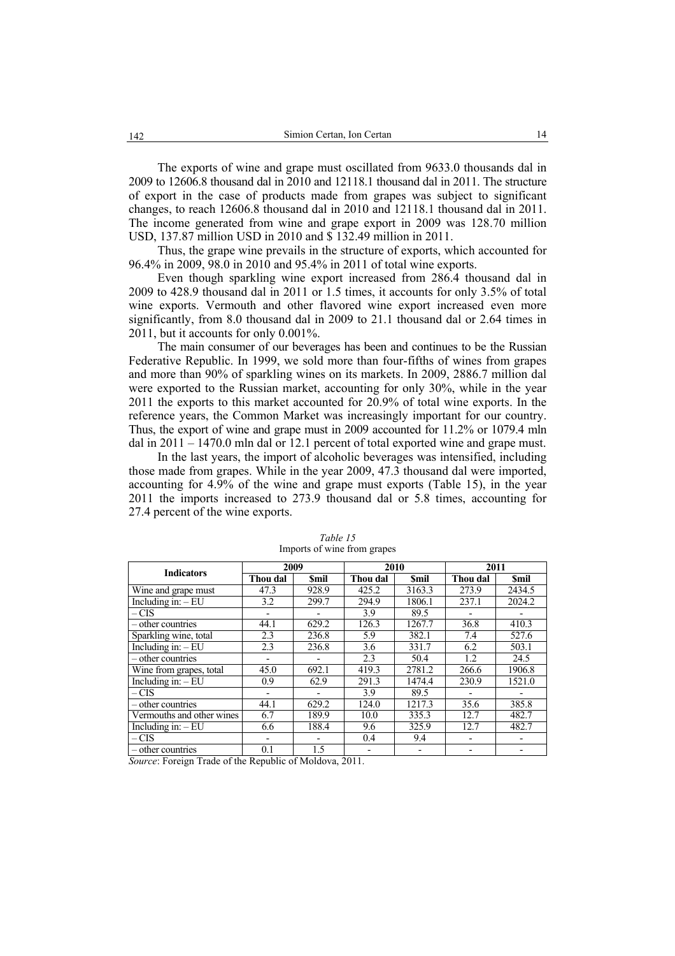The exports of wine and grape must oscillated from 9633.0 thousands dal in 2009 to 12606.8 thousand dal in 2010 and 12118.1 thousand dal in 2011. The structure of export in the case of products made from grapes was subject to significant changes, to reach 12606.8 thousand dal in 2010 and 12118.1 thousand dal in 2011. The income generated from wine and grape export in 2009 was 128.70 million USD, 137.87 million USD in 2010 and \$ 132.49 million in 2011.

Thus, the grape wine prevails in the structure of exports, which accounted for 96.4% in 2009, 98.0 in 2010 and 95.4% in 2011 of total wine exports.

Even though sparkling wine export increased from 286.4 thousand dal in 2009 to 428.9 thousand dal in 2011 or 1.5 times, it accounts for only 3.5% of total wine exports. Vermouth and other flavored wine export increased even more significantly, from 8.0 thousand dal in 2009 to 21.1 thousand dal or 2.64 times in 2011, but it accounts for only 0.001%.

The main consumer of our beverages has been and continues to be the Russian Federative Republic. In 1999, we sold more than four-fifths of wines from grapes and more than 90% of sparkling wines on its markets. In 2009, 2886.7 million dal were exported to the Russian market, accounting for only 30%, while in the year 2011 the exports to this market accounted for 20.9% of total wine exports. In the reference years, the Common Market was increasingly important for our country. Thus, the export of wine and grape must in 2009 accounted for 11.2% or 1079.4 mln dal in 2011 – 1470.0 mln dal or 12.1 percent of total exported wine and grape must.

In the last years, the import of alcoholic beverages was intensified, including those made from grapes. While in the year 2009, 47.3 thousand dal were imported, accounting for 4.9% of the wine and grape must exports (Table 15), in the year 2011 the imports increased to 273.9 thousand dal or 5.8 times, accounting for 27.4 percent of the wine exports.

| <b>Indicators</b>                | 2009                     |             | 2010     |             | 2011     |             |  |
|----------------------------------|--------------------------|-------------|----------|-------------|----------|-------------|--|
|                                  | Thou dal                 | <b>Smil</b> | Thou dal | <b>Smil</b> | Thou dal | <b>Smil</b> |  |
| Wine and grape must              | 47.3                     | 928.9       | 425.2    | 3163.3      | 273.9    | 2434.5      |  |
| Including in: $-EU$              | 3.2                      | 299.7       | 294.9    | 1806.1      | 237.1    | 2024.2      |  |
| $-CIS$                           |                          |             | 3.9      | 89.5        |          |             |  |
| – other countries                | 44.1                     | 629.2       | 126.3    | 1267.7      | 36.8     | 410.3       |  |
| Sparkling wine, total            | 2.3                      | 236.8       | 5.9      | 382.1       | 7.4      | 527.6       |  |
| Including in: $-EU$              | 2.3                      | 236.8       | 3.6      | 331.7       | 6.2      | 503.1       |  |
| - other countries                |                          |             | 2.3      | 50.4        | 1.2      | 24.5        |  |
| Wine from grapes, total          | 45.0                     | 692.1       | 419.3    | 2781.2      | 266.6    | 1906.8      |  |
| $\overline{Including}$ in: $-EU$ | 0.9                      | 62.9        | 291.3    | 1474.4      | 230.9    | 1521.0      |  |
| – CIS                            | $\overline{\phantom{0}}$ | -           | 3.9      | 89.5        |          |             |  |
| – other countries                | 44.1                     | 629.2       | 124.0    | 1217.3      | 35.6     | 385.8       |  |
| Vermouths and other wines        | 6.7                      | 189.9       | 10.0     | 335.3       | 12.7     | 482.7       |  |
| Including in: $-EU$              | 6.6                      | 188.4       | 9.6      | 325.9       | 12.7     | 482.7       |  |
| $-CIS$                           |                          |             | 0.4      | 9.4         |          |             |  |
| – other countries                | 0.1                      | 1.5         |          |             |          |             |  |

*Table 15*  Imports of wine from grapes

*Source*: Foreign Trade of the Republic of Moldova, 2011.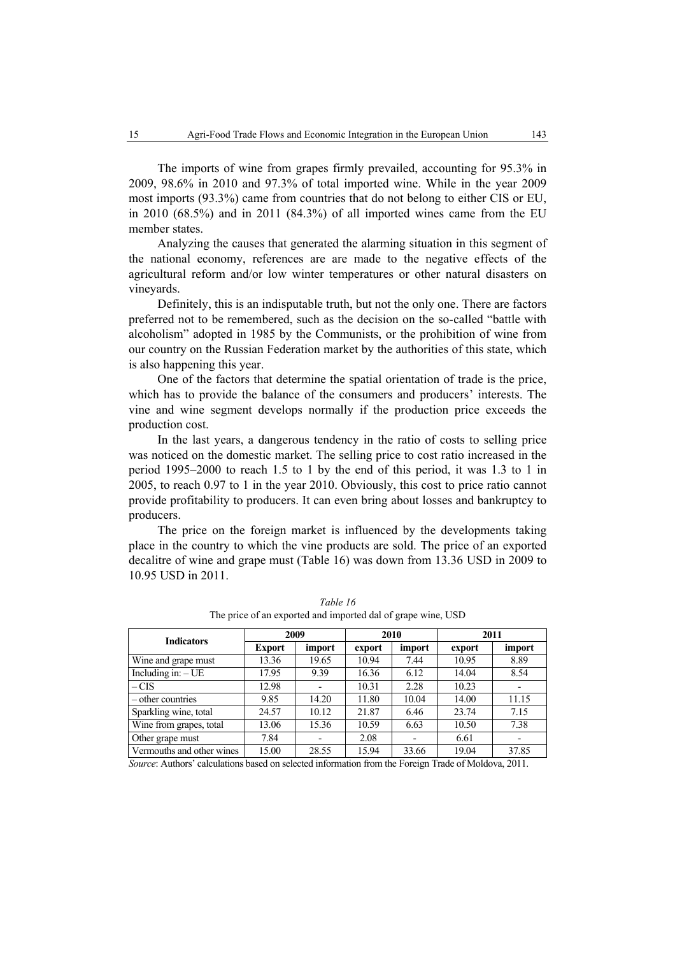The imports of wine from grapes firmly prevailed, accounting for 95.3% in 2009, 98.6% in 2010 and 97.3% of total imported wine. While in the year 2009 most imports (93.3%) came from countries that do not belong to either CIS or EU, in 2010 (68.5%) and in 2011 (84.3%) of all imported wines came from the EU member states.

Analyzing the causes that generated the alarming situation in this segment of the national economy, references are are made to the negative effects of the agricultural reform and/or low winter temperatures or other natural disasters on vineyards.

Definitely, this is an indisputable truth, but not the only one. There are factors preferred not to be remembered, such as the decision on the so-called "battle with alcoholism" adopted in 1985 by the Communists, or the prohibition of wine from our country on the Russian Federation market by the authorities of this state, which is also happening this year.

One of the factors that determine the spatial orientation of trade is the price, which has to provide the balance of the consumers and producers' interests. The vine and wine segment develops normally if the production price exceeds the production cost.

In the last years, a dangerous tendency in the ratio of costs to selling price was noticed on the domestic market. The selling price to cost ratio increased in the period 1995–2000 to reach 1.5 to 1 by the end of this period, it was 1.3 to 1 in 2005, to reach 0.97 to 1 in the year 2010. Obviously, this cost to price ratio cannot provide profitability to producers. It can even bring about losses and bankruptcy to producers.

The price on the foreign market is influenced by the developments taking place in the country to which the vine products are sold. The price of an exported decalitre of wine and grape must (Table 16) was down from 13.36 USD in 2009 to 10.95 USD in 2011.

| <b>Indicators</b>         | 2009          |        |        | 2010   | 2011   |        |  |
|---------------------------|---------------|--------|--------|--------|--------|--------|--|
|                           | <b>Export</b> | import | export | import | export | import |  |
| Wine and grape must       | 13.36         | 19.65  | 10.94  | 7.44   | 10.95  | 8.89   |  |
| Including in: $-UE$       | 17.95         | 9.39   | 16.36  | 6.12   | 14.04  | 8.54   |  |
| $-CIS$                    | 12.98         |        | 10.31  | 2.28   | 10.23  |        |  |
| – other countries         | 9.85          | 14.20  | 11.80  | 10.04  | 14.00  | 11.15  |  |
| Sparkling wine, total     | 24.57         | 10.12  | 21.87  | 6.46   | 23.74  | 7.15   |  |
| Wine from grapes, total   | 13.06         | 15.36  | 10.59  | 6.63   | 10.50  | 7.38   |  |
| Other grape must          | 7.84          |        | 2.08   |        | 6.61   |        |  |
| Vermouths and other wines | 15.00         | 28.55  | 15.94  | 33.66  | 19.04  | 37.85  |  |

*Table 16*  The price of an exported and imported dal of grape wine, USD

*Source*: Authors' calculations based on selected information from the Foreign Trade of Moldova, 2011.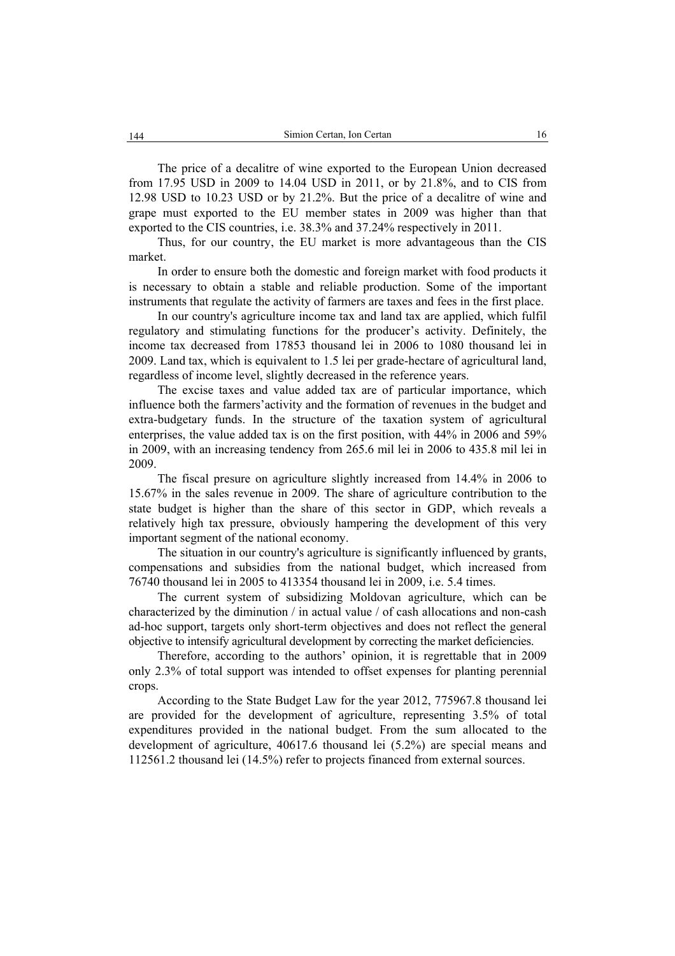The price of a decalitre of wine exported to the European Union decreased from 17.95 USD in 2009 to 14.04 USD in 2011, or by 21.8%, and to CIS from 12.98 USD to 10.23 USD or by 21.2%. But the price of a decalitre of wine and grape must exported to the EU member states in 2009 was higher than that exported to the CIS countries, i.e. 38.3% and 37.24% respectively in 2011.

Thus, for our country, the EU market is more advantageous than the CIS market.

In order to ensure both the domestic and foreign market with food products it is necessary to obtain a stable and reliable production. Some of the important instruments that regulate the activity of farmers are taxes and fees in the first place.

In our country's agriculture income tax and land tax are applied, which fulfil regulatory and stimulating functions for the producer's activity. Definitely, the income tax decreased from 17853 thousand lei in 2006 to 1080 thousand lei in 2009. Land tax, which is equivalent to 1.5 lei per grade-hectare of agricultural land, regardless of income level, slightly decreased in the reference years.

The excise taxes and value added tax are of particular importance, which influence both the farmers'activity and the formation of revenues in the budget and extra-budgetary funds. In the structure of the taxation system of agricultural enterprises, the value added tax is on the first position, with 44% in 2006 and 59% in 2009, with an increasing tendency from 265.6 mil lei in 2006 to 435.8 mil lei in 2009.

The fiscal presure on agriculture slightly increased from 14.4% in 2006 to 15.67% in the sales revenue in 2009. The share of agriculture contribution to the state budget is higher than the share of this sector in GDP, which reveals a relatively high tax pressure, obviously hampering the development of this very important segment of the national economy.

The situation in our country's agriculture is significantly influenced by grants, compensations and subsidies from the national budget, which increased from 76740 thousand lei in 2005 to 413354 thousand lei in 2009, i.e. 5.4 times.

The current system of subsidizing Moldovan agriculture, which can be characterized by the diminution / in actual value / of cash allocations and non-cash ad-hoc support, targets only short-term objectives and does not reflect the general objective to intensify agricultural development by correcting the market deficiencies.

Therefore, according to the authors' opinion, it is regrettable that in 2009 only 2.3% of total support was intended to offset expenses for planting perennial crops.

According to the State Budget Law for the year 2012, 775967.8 thousand lei are provided for the development of agriculture, representing 3.5% of total expenditures provided in the national budget. From the sum allocated to the development of agriculture, 40617.6 thousand lei (5.2%) are special means and 112561.2 thousand lei (14.5%) refer to projects financed from external sources.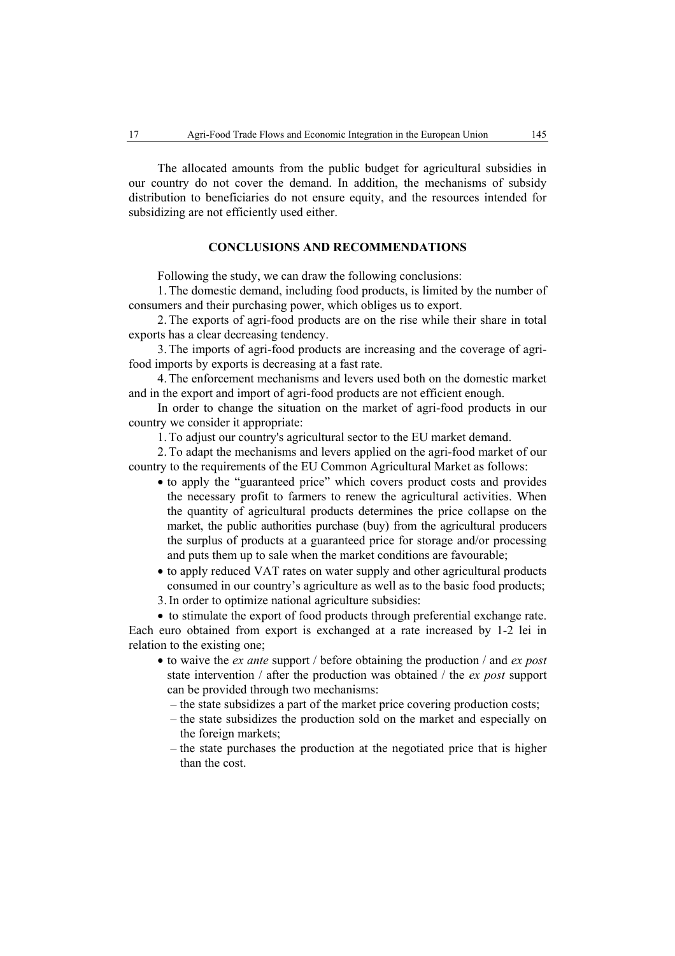The allocated amounts from the public budget for agricultural subsidies in our country do not cover the demand. In addition, the mechanisms of subsidy distribution to beneficiaries do not ensure equity, and the resources intended for subsidizing are not efficiently used either.

## **CONCLUSIONS AND RECOMMENDATIONS**

Following the study, we can draw the following conclusions:

1. The domestic demand, including food products, is limited by the number of consumers and their purchasing power, which obliges us to export.

2. The exports of agri-food products are on the rise while their share in total exports has a clear decreasing tendency.

3. The imports of agri-food products are increasing and the coverage of agrifood imports by exports is decreasing at a fast rate.

4. The enforcement mechanisms and levers used both on the domestic market and in the export and import of agri-food products are not efficient enough.

In order to change the situation on the market of agri-food products in our country we consider it appropriate:

1. To adjust our country's agricultural sector to the EU market demand.

2. To adapt the mechanisms and levers applied on the agri-food market of our country to the requirements of the EU Common Agricultural Market as follows:

- to apply the "guaranteed price" which covers product costs and provides the necessary profit to farmers to renew the agricultural activities. When the quantity of agricultural products determines the price collapse on the market, the public authorities purchase (buy) from the agricultural producers the surplus of products at a guaranteed price for storage and/or processing and puts them up to sale when the market conditions are favourable;
- to apply reduced VAT rates on water supply and other agricultural products consumed in our country's agriculture as well as to the basic food products; 3.In order to optimize national agriculture subsidies:
- 

• to stimulate the export of food products through preferential exchange rate. Each euro obtained from export is exchanged at a rate increased by 1-2 lei in relation to the existing one;

- to waive the *ex ante* support / before obtaining the production / and *ex post* state intervention / after the production was obtained / the *ex post* support can be provided through two mechanisms:
	- the state subsidizes a part of the market price covering production costs;
	- the state subsidizes the production sold on the market and especially on the foreign markets;
	- the state purchases the production at the negotiated price that is higher than the cost.